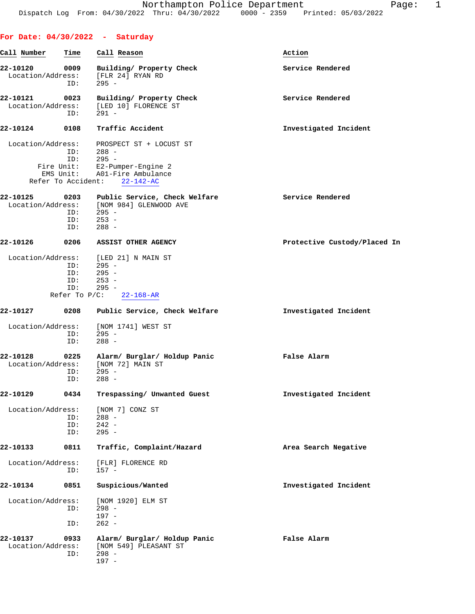|                               |                                              | For Date: $04/30/2022 - Saturday$                                                                                                 |                              |
|-------------------------------|----------------------------------------------|-----------------------------------------------------------------------------------------------------------------------------------|------------------------------|
| Call Number                   | Time                                         | Call Reason                                                                                                                       | Action                       |
| 22-10120<br>Location/Address: | 0009<br>ID:                                  | Building/ Property Check<br>[FLR 24] RYAN RD<br>$295 -$                                                                           | Service Rendered             |
| 22-10121<br>Location/Address: | 0023<br>ID:                                  | Building/ Property Check<br>[LED 10] FLORENCE ST<br>$291 -$                                                                       | Service Rendered             |
| 22-10124                      | 0108                                         | Traffic Accident                                                                                                                  | Investigated Incident        |
| Location/Address:             | ID:<br>ID:<br>Refer To Accident:             | PROSPECT ST + LOCUST ST<br>$288 -$<br>$295 -$<br>Fire Unit: E2-Pumper-Engine 2<br>EMS Unit: A01-Fire Ambulance<br>$22 - 142 - AC$ |                              |
| 22-10125                      | 0203<br>ID:<br>ID:<br>ID:                    | Public Service, Check Welfare<br>Location/Address: [NOM 984] GLENWOOD AVE<br>$295 -$<br>$253 -$<br>$288 -$                        | Service Rendered             |
| 22-10126                      | 0206                                         | ASSIST OTHER AGENCY                                                                                                               | Protective Custody/Placed In |
|                               | ID:<br>ID:<br>ID:<br>ID:<br>Refer To $P/C$ : | Location/Address: [LED 21] N MAIN ST<br>$295 -$<br>$295 -$<br>$253 -$<br>$295 -$<br>$22 - 168 - AR$                               |                              |
| 22-10127                      | 0208                                         | Public Service, Check Welfare                                                                                                     | Investigated Incident        |
| Location/Address:             | ID:<br>ID:                                   | [NOM 1741] WEST ST<br>$295 -$<br>$288 -$                                                                                          |                              |
| 22-10128<br>Location/Address: | 0225<br>ID:<br>ID:                           | Alarm/ Burglar/ Holdup Panic<br>[NOM 72] MAIN ST<br>$295 -$<br>$288 -$                                                            | False Alarm                  |
| 22-10129                      | 0434                                         | Trespassing/ Unwanted Guest                                                                                                       | Investigated Incident        |
| Location/Address:             | ID:<br>ID:<br>ID:                            | [NOM 7] CONZ ST<br>$288 -$<br>$242 -$<br>$295 -$                                                                                  |                              |
| 22-10133                      | 0811                                         | Traffic, Complaint/Hazard                                                                                                         | Area Search Negative         |
| Location/Address:             | ID:                                          | [FLR] FLORENCE RD<br>$157 -$                                                                                                      |                              |
| 22-10134                      | 0851                                         | Suspicious/Wanted                                                                                                                 | Investigated Incident        |
| Location/Address:             | ID:<br>ID:                                   | [NOM 1920] ELM ST<br>$298 -$<br>$197 -$<br>$262 -$                                                                                |                              |
| 22-10137<br>Location/Address: | 0933<br>ID:                                  | Alarm/ Burglar/ Holdup Panic<br>[NOM 549] PLEASANT ST<br>$298 -$<br>$197 -$                                                       | False Alarm                  |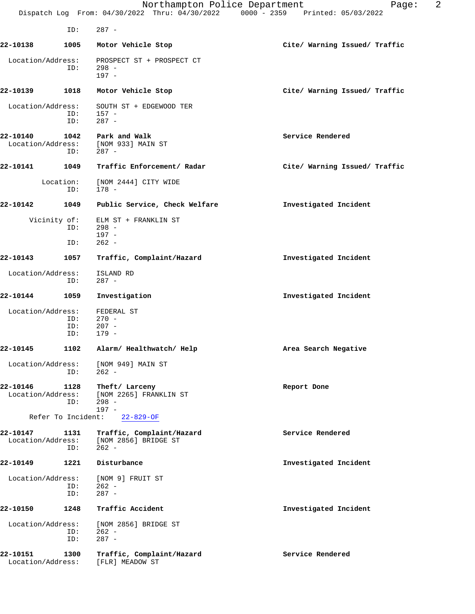|                               |                     | Northampton Police Department                                  | 2<br>Page:<br>Dispatch Log From: 04/30/2022 Thru: 04/30/2022 0000 - 2359 Printed: 05/03/2022 |
|-------------------------------|---------------------|----------------------------------------------------------------|----------------------------------------------------------------------------------------------|
|                               | ID:                 | $287 -$                                                        |                                                                                              |
| 22-10138                      | 1005                | Motor Vehicle Stop                                             | Cite/ Warning Issued/ Traffic                                                                |
| Location/Address:             | ID:                 | PROSPECT ST + PROSPECT CT<br>$298 -$<br>$197 -$                |                                                                                              |
| 22-10139                      | 1018                | Motor Vehicle Stop                                             | Cite/ Warning Issued/ Traffic                                                                |
| Location/Address:             | ID:<br>ID:          | SOUTH ST + EDGEWOOD TER<br>$157 -$<br>$287 -$                  |                                                                                              |
| 22-10140<br>Location/Address: | 1042<br>ID:         | Park and Walk<br>[NOM 933] MAIN ST<br>$287 -$                  | Service Rendered                                                                             |
| 22-10141                      | 1049                | Traffic Enforcement/ Radar                                     | Cite/ Warning Issued/ Traffic                                                                |
|                               | Location:<br>ID:    | [NOM 2444] CITY WIDE<br>$178 -$                                |                                                                                              |
| 22-10142                      | 1049                | Public Service, Check Welfare                                  | Investigated Incident                                                                        |
|                               | Vicinity of:<br>ID: | ELM ST + FRANKLIN ST<br>$298 -$                                |                                                                                              |
|                               | ID:                 | $197 -$<br>$262 -$                                             |                                                                                              |
| 22-10143                      | 1057                | Traffic, Complaint/Hazard                                      | Investigated Incident                                                                        |
| Location/Address:             | ID:                 | ISLAND RD<br>$287 -$                                           |                                                                                              |
| 22-10144                      | 1059                | Investigation                                                  | Investigated Incident                                                                        |
| Location/Address:             | ID:<br>ID:<br>ID:   | FEDERAL ST<br>$270 -$<br>$207 -$<br>$179 -$                    |                                                                                              |
| 22-10145                      |                     | 1102 Alarm/ Healthwatch/ Help                                  | Area Search Negative                                                                         |
| Location/Address:             | ID:                 | [NOM 949] MAIN ST<br>$262 -$                                   |                                                                                              |
| 22-10146<br>Location/Address: | 1128<br>ID:         | Theft/ Larceny<br>[NOM 2265] FRANKLIN ST<br>$298 -$<br>$197 -$ | Report Done                                                                                  |
|                               | Refer To Incident:  | $22 - 829 - OF$                                                |                                                                                              |
| 22-10147<br>Location/Address: | 1131<br>ID:         | Traffic, Complaint/Hazard<br>[NOM 2856] BRIDGE ST<br>$262 -$   | Service Rendered                                                                             |
| 22-10149                      | 1221                | Disturbance                                                    | Investigated Incident                                                                        |
| Location/Address:             | ID:<br>ID:          | [NOM 9] FRUIT ST<br>$262 -$<br>$287 -$                         |                                                                                              |
| 22-10150                      | 1248                | Traffic Accident                                               | Investigated Incident                                                                        |
| Location/Address:             | ID:<br>ID:          | [NOM 2856] BRIDGE ST<br>$262 -$<br>$287 -$                     |                                                                                              |
| 22-10151<br>Location/Address: | 1300                | Traffic, Complaint/Hazard<br>[FLR] MEADOW ST                   | Service Rendered                                                                             |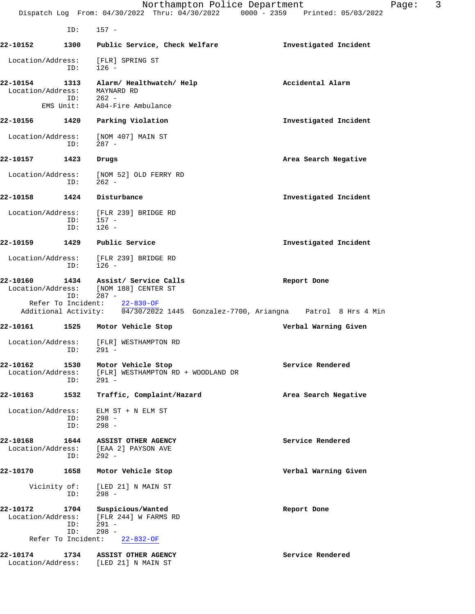|                               |                     | Northampton Police Department<br>Dispatch Log From: 04/30/2022 Thru: 04/30/2022 0000 - 2359 Printed: 05/03/2022 | Page:                 | 3 |
|-------------------------------|---------------------|-----------------------------------------------------------------------------------------------------------------|-----------------------|---|
|                               | ID:                 | $157 -$                                                                                                         |                       |   |
| 22-10152                      | 1300                | Public Service, Check Welfare                                                                                   | Investigated Incident |   |
| Location/Address:             | ID:                 | [FLR] SPRING ST<br>$126 -$                                                                                      |                       |   |
| 22-10154<br>Location/Address: | 1313<br>ID:         | Alarm/ Healthwatch/ Help<br>MAYNARD RD<br>$262 -$                                                               | Accidental Alarm      |   |
|                               | EMS Unit:           | A04-Fire Ambulance                                                                                              |                       |   |
| 22-10156                      | 1420                | Parking Violation                                                                                               | Investigated Incident |   |
| Location/Address:             | ID:                 | [NOM 407] MAIN ST<br>$287 -$                                                                                    |                       |   |
| 22-10157                      | 1423                | Drugs                                                                                                           | Area Search Negative  |   |
| Location/Address:             | ID:                 | [NOM 52] OLD FERRY RD<br>$262 -$                                                                                |                       |   |
| 22-10158                      | 1424                | Disturbance                                                                                                     | Investigated Incident |   |
| Location/Address:             | ID:<br>ID:          | [FLR 239] BRIDGE RD<br>$157 -$<br>$126 -$                                                                       |                       |   |
| 22-10159                      | 1429                | Public Service                                                                                                  | Investigated Incident |   |
| Location/Address:             | ID:                 | [FLR 239] BRIDGE RD<br>$126 -$                                                                                  |                       |   |
| 22-10160<br>Location/Address: | 1434<br>ID:         | Assist/ Service Calls<br>[NOM 188] CENTER ST<br>$287 -$                                                         | Report Done           |   |
|                               |                     | Refer To Incident: 22-830-OF<br>Additional Activity: 04/30/2022 1445 Gonzalez-7700, Ariangna Patrol 8 Hrs 4 Min |                       |   |
| 22-10161                      | 1525                | Motor Vehicle Stop                                                                                              | Verbal Warning Given  |   |
| Location/Address:             | ID:                 | [FLR] WESTHAMPTON RD<br>291 -                                                                                   |                       |   |
| 22-10162<br>Location/Address: | 1530<br>ID:         | Motor Vehicle Stop<br>[FLR] WESTHAMPTON RD + WOODLAND DR<br>$291 -$                                             | Service Rendered      |   |
| 22-10163                      | 1532                | Traffic, Complaint/Hazard                                                                                       | Area Search Negative  |   |
| Location/Address:             | ID:<br>ID:          | ELM ST + N ELM ST<br>$298 -$<br>$298 -$                                                                         |                       |   |
| 22-10168<br>Location/Address: | 1644<br>ID:         | ASSIST OTHER AGENCY<br>[EAA 2] PAYSON AVE<br>$292 -$                                                            | Service Rendered      |   |
| 22-10170                      | 1658                | Motor Vehicle Stop                                                                                              | Verbal Warning Given  |   |
|                               | Vicinity of:<br>ID: | [LED 21] N MAIN ST<br>$298 -$                                                                                   |                       |   |
| 22-10172<br>Location/Address: | 1704<br>ID:<br>ID:  | Suspicious/Wanted<br>[FLR 244] W FARMS RD<br>$291 -$<br>$298 -$                                                 | Report Done           |   |
|                               | Refer To Incident:  | $22 - 832 - OF$                                                                                                 |                       |   |
| 22-10174<br>Location/Address: | 1734                | ASSIST OTHER AGENCY<br>[LED 21] N MAIN ST                                                                       | Service Rendered      |   |